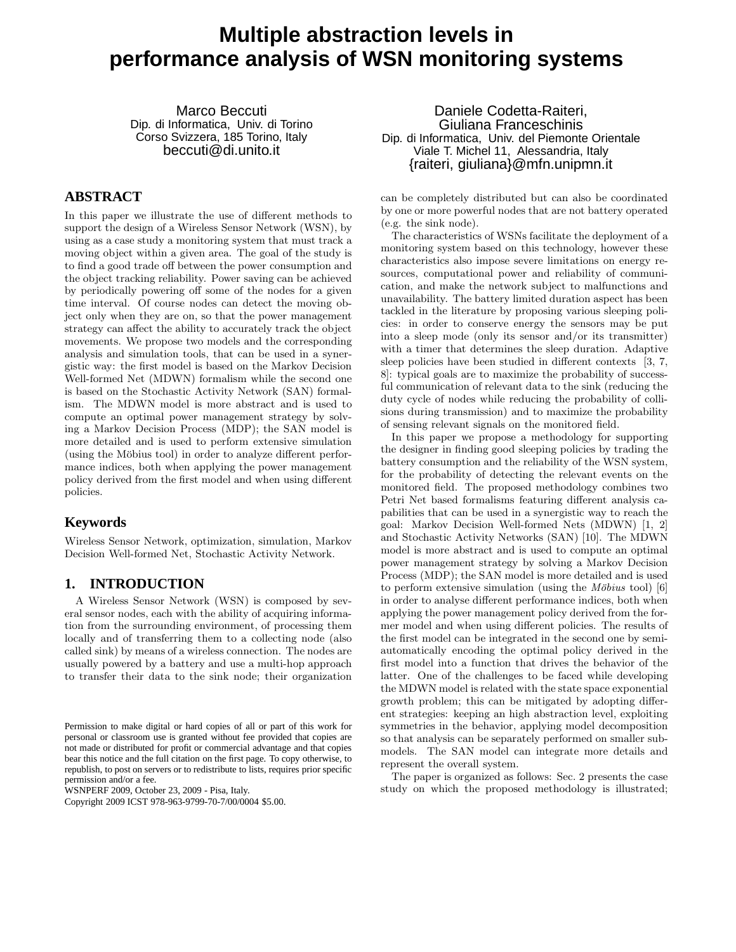# **Multiple abstraction levels in performance analysis of WSN monitoring systems**

Marco Beccuti Dip. di Informatica, Univ. di Torino Corso Svizzera, 185 Torino, Italy beccuti@di.unito.it

## **ABSTRACT**

In this paper we illustrate the use of different methods to support the design of a Wireless Sensor Network (WSN), by using as a case study a monitoring system that must track a moving object within a given area. The goal of the study is to find a good trade off between the power consumption and the object tracking reliability. Power saving can be achieved by periodically powering off some of the nodes for a given time interval. Of course nodes can detect the moving object only when they are on, so that the power management strategy can affect the ability to accurately track the object movements. We propose two models and the corresponding analysis and simulation tools, that can be used in a synergistic way: the first model is based on the Markov Decision Well-formed Net (MDWN) formalism while the second one is based on the Stochastic Activity Network (SAN) formalism. The MDWN model is more abstract and is used to compute an optimal power management strategy by solving a Markov Decision Process (MDP); the SAN model is more detailed and is used to perform extensive simulation (using the Möbius tool) in order to analyze different performance indices, both when applying the power management policy derived from the first model and when using different policies.

## **Keywords**

Wireless Sensor Network, optimization, simulation, Markov Decision Well-formed Net, Stochastic Activity Network.

## **1. INTRODUCTION**

A Wireless Sensor Network (WSN) is composed by several sensor nodes, each with the ability of acquiring information from the surrounding environment, of processing them locally and of transferring them to a collecting node (also called sink) by means of a wireless connection. The nodes are usually powered by a battery and use a multi-hop approach to transfer their data to the sink node; their organization

WSNPERF 2009, October 23, 2009 - Pisa, Italy.

Copyright 2009 ICST 978-963-9799-70-7/00/0004 \$5.00.

Daniele Codetta-Raiteri, Giuliana Franceschinis Dip. di Informatica, Univ. del Piemonte Orientale Viale T. Michel 11, Alessandria, Italy {raiteri, giuliana}@mfn.unipmn.it

can be completely distributed but can also be coordinated by one or more powerful nodes that are not battery operated (e.g. the sink node).

The characteristics of WSNs facilitate the deployment of a monitoring system based on this technology, however these characteristics also impose severe limitations on energy resources, computational power and reliability of communication, and make the network subject to malfunctions and unavailability. The battery limited duration aspect has been tackled in the literature by proposing various sleeping policies: in order to conserve energy the sensors may be put into a sleep mode (only its sensor and/or its transmitter) with a timer that determines the sleep duration. Adaptive sleep policies have been studied in different contexts [3, 7, 8]: typical goals are to maximize the probability of successful communication of relevant data to the sink (reducing the duty cycle of nodes while reducing the probability of collisions during transmission) and to maximize the probability of sensing relevant signals on the monitored field.

In this paper we propose a methodology for supporting the designer in finding good sleeping policies by trading the battery consumption and the reliability of the WSN system, for the probability of detecting the relevant events on the monitored field. The proposed methodology combines two Petri Net based formalisms featuring different analysis capabilities that can be used in a synergistic way to reach the goal: Markov Decision Well-formed Nets (MDWN) [1, 2] and Stochastic Activity Networks (SAN) [10]. The MDWN model is more abstract and is used to compute an optimal power management strategy by solving a Markov Decision Process (MDP); the SAN model is more detailed and is used to perform extensive simulation (using the *Möbius* tool) [6] in order to analyse different performance indices, both when applying the power management policy derived from the former model and when using different policies. The results of the first model can be integrated in the second one by semiautomatically encoding the optimal policy derived in the first model into a function that drives the behavior of the latter. One of the challenges to be faced while developing the MDWN model is related with the state space exponential growth problem; this can be mitigated by adopting different strategies: keeping an high abstraction level, exploiting symmetries in the behavior, applying model decomposition so that analysis can be separately performed on smaller submodels. The SAN model can integrate more details and represent the overall system.

The paper is organized as follows: Sec. 2 presents the case study on which the proposed methodology is illustrated;

Permission to make digital or hard copies of all or part of this work for personal or classroom use is granted without fee provided that copies are not made or distributed for profit or commercial advantage and that copies bear this notice and the full citation on the first page. To copy otherwise, to republish, to post on servers or to redistribute to lists, requires prior specific permission and/or a fee.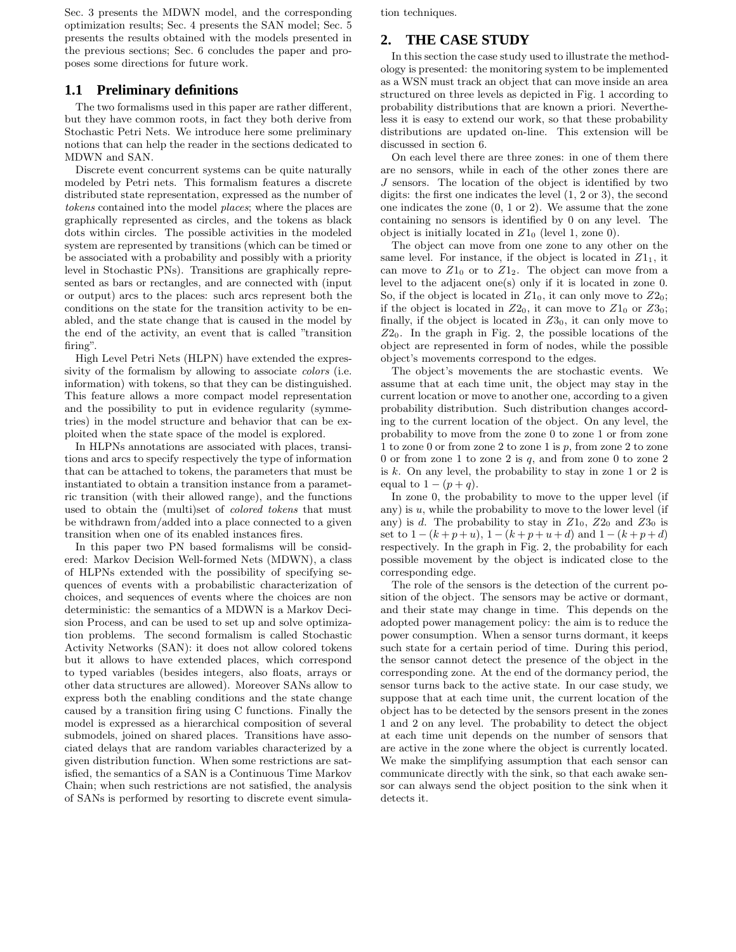Sec. 3 presents the MDWN model, and the corresponding optimization results; Sec. 4 presents the SAN model; Sec. 5 presents the results obtained with the models presented in the previous sections; Sec. 6 concludes the paper and proposes some directions for future work.

## **1.1 Preliminary definitions**

The two formalisms used in this paper are rather different, but they have common roots, in fact they both derive from Stochastic Petri Nets. We introduce here some preliminary notions that can help the reader in the sections dedicated to MDWN and SAN.

Discrete event concurrent systems can be quite naturally modeled by Petri nets. This formalism features a discrete distributed state representation, expressed as the number of *tokens* contained into the model *places*; where the places are graphically represented as circles, and the tokens as black dots within circles. The possible activities in the modeled system are represented by transitions (which can be timed or be associated with a probability and possibly with a priority level in Stochastic PNs). Transitions are graphically represented as bars or rectangles, and are connected with (input or output) arcs to the places: such arcs represent both the conditions on the state for the transition activity to be enabled, and the state change that is caused in the model by the end of the activity, an event that is called "transition firing".

High Level Petri Nets (HLPN) have extended the expressivity of the formalism by allowing to associate *colors* (i.e. information) with tokens, so that they can be distinguished. This feature allows a more compact model representation and the possibility to put in evidence regularity (symmetries) in the model structure and behavior that can be exploited when the state space of the model is explored.

In HLPNs annotations are associated with places, transitions and arcs to specify respectively the type of information that can be attached to tokens, the parameters that must be instantiated to obtain a transition instance from a parametric transition (with their allowed range), and the functions used to obtain the (multi)set of *colored tokens* that must be withdrawn from/added into a place connected to a given transition when one of its enabled instances fires.

In this paper two PN based formalisms will be considered: Markov Decision Well-formed Nets (MDWN), a class of HLPNs extended with the possibility of specifying sequences of events with a probabilistic characterization of choices, and sequences of events where the choices are non deterministic: the semantics of a MDWN is a Markov Decision Process, and can be used to set up and solve optimization problems. The second formalism is called Stochastic Activity Networks (SAN): it does not allow colored tokens but it allows to have extended places, which correspond to typed variables (besides integers, also floats, arrays or other data structures are allowed). Moreover SANs allow to express both the enabling conditions and the state change caused by a transition firing using C functions. Finally the model is expressed as a hierarchical composition of several submodels, joined on shared places. Transitions have associated delays that are random variables characterized by a given distribution function. When some restrictions are satisfied, the semantics of a SAN is a Continuous Time Markov Chain; when such restrictions are not satisfied, the analysis of SANs is performed by resorting to discrete event simulation techniques.

# **2. THE CASE STUDY**

In this section the case study used to illustrate the methodology is presented: the monitoring system to be implemented as a WSN must track an object that can move inside an area structured on three levels as depicted in Fig. 1 according to probability distributions that are known a priori. Nevertheless it is easy to extend our work, so that these probability distributions are updated on-line. This extension will be discussed in section 6.

On each level there are three zones: in one of them there are no sensors, while in each of the other zones there are J sensors. The location of the object is identified by two digits: the first one indicates the level (1, 2 or 3), the second one indicates the zone (0, 1 or 2). We assume that the zone containing no sensors is identified by 0 on any level. The object is initially located in  $Z1_0$  (level 1, zone 0).

The object can move from one zone to any other on the same level. For instance, if the object is located in  $Z1_1$ , it can move to  $Z1_0$  or to  $Z1_2$ . The object can move from a level to the adjacent one(s) only if it is located in zone 0. So, if the object is located in  $Z1_0$ , it can only move to  $Z2_0$ ; if the object is located in  $Z2_0$ , it can move to  $Z1_0$  or  $Z3_0$ ; finally, if the object is located in  $Z3_0$ , it can only move to  $Z_{0}$ . In the graph in Fig. 2, the possible locations of the object are represented in form of nodes, while the possible object's movements correspond to the edges.

The object's movements the are stochastic events. We assume that at each time unit, the object may stay in the current location or move to another one, according to a given probability distribution. Such distribution changes according to the current location of the object. On any level, the probability to move from the zone 0 to zone 1 or from zone 1 to zone 0 or from zone 2 to zone 1 is  $p$ , from zone 2 to zone 0 or from zone 1 to zone 2 is  $q$ , and from zone 0 to zone 2 is k. On any level, the probability to stay in zone 1 or 2 is equal to  $1 - (p + q)$ .

In zone 0, the probability to move to the upper level (if any) is  $u$ , while the probability to move to the lower level (if any) is d. The probability to stay in  $Z1_0$ ,  $Z2_0$  and  $Z3_0$  is set to  $1 - (k + p + u)$ ,  $1 - (k + p + u + d)$  and  $1 - (k + p + d)$ respectively. In the graph in Fig. 2, the probability for each possible movement by the object is indicated close to the corresponding edge.

The role of the sensors is the detection of the current position of the object. The sensors may be active or dormant, and their state may change in time. This depends on the adopted power management policy: the aim is to reduce the power consumption. When a sensor turns dormant, it keeps such state for a certain period of time. During this period, the sensor cannot detect the presence of the object in the corresponding zone. At the end of the dormancy period, the sensor turns back to the active state. In our case study, we suppose that at each time unit, the current location of the object has to be detected by the sensors present in the zones 1 and 2 on any level. The probability to detect the object at each time unit depends on the number of sensors that are active in the zone where the object is currently located. We make the simplifying assumption that each sensor can communicate directly with the sink, so that each awake sensor can always send the object position to the sink when it detects it.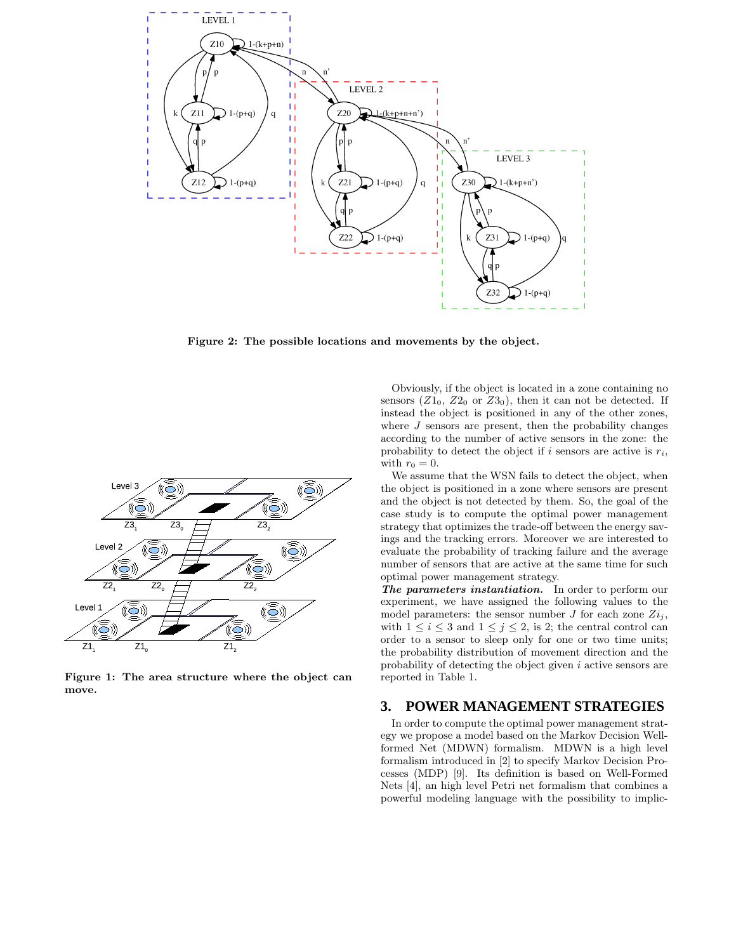

Figure 2: The possible locations and movements by the object.



Figure 1: The area structure where the object can move.

Obviously, if the object is located in a zone containing no sensors  $(Z1_0, Z2_0 \text{ or } Z3_0)$ , then it can not be detected. If instead the object is positioned in any of the other zones, where  $J$  sensors are present, then the probability changes according to the number of active sensors in the zone: the probability to detect the object if i sensors are active is  $r_i$ , with  $r_0 = 0$ .

We assume that the WSN fails to detect the object, when the object is positioned in a zone where sensors are present and the object is not detected by them. So, the goal of the case study is to compute the optimal power management strategy that optimizes the trade-off between the energy savings and the tracking errors. Moreover we are interested to evaluate the probability of tracking failure and the average number of sensors that are active at the same time for such optimal power management strategy.

The parameters instantiation. In order to perform our experiment, we have assigned the following values to the model parameters: the sensor number  $J$  for each zone  $Z_i$ , with  $1 \leq i \leq 3$  and  $1 \leq j \leq 2$ , is 2; the central control can order to a sensor to sleep only for one or two time units; the probability distribution of movement direction and the probability of detecting the object given i active sensors are reported in Table 1.

#### **3. POWER MANAGEMENT STRATEGIES**

In order to compute the optimal power management strategy we propose a model based on the Markov Decision Wellformed Net (MDWN) formalism. MDWN is a high level formalism introduced in [2] to specify Markov Decision Processes (MDP) [9]. Its definition is based on Well-Formed Nets [4], an high level Petri net formalism that combines a powerful modeling language with the possibility to implic-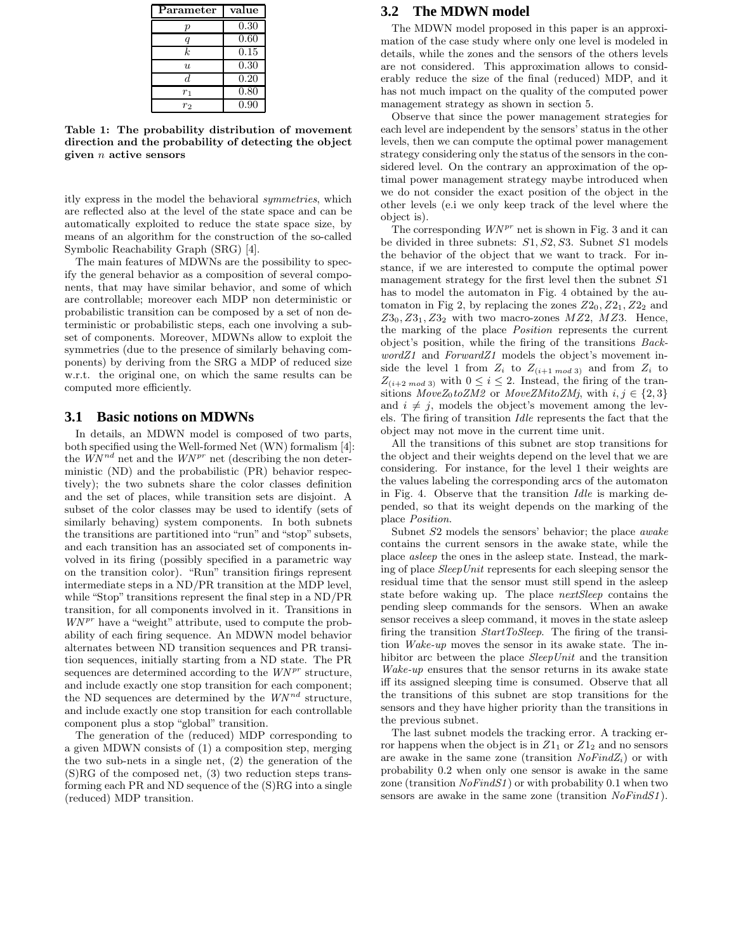| Parameter      | value |
|----------------|-------|
| р              | 0.30  |
| q              | 0.60  |
| k.             | 0.15  |
| $\mathfrak{u}$ | 0.30  |
| d.             | 0.20  |
| $r_1$          | 0.80  |
| ro             | 0.90  |

Table 1: The probability distribution of movement direction and the probability of detecting the object given  $n$  active sensors

itly express in the model the behavioral *symmetries*, which are reflected also at the level of the state space and can be automatically exploited to reduce the state space size, by means of an algorithm for the construction of the so-called Symbolic Reachability Graph (SRG) [4].

The main features of MDWNs are the possibility to specify the general behavior as a composition of several components, that may have similar behavior, and some of which are controllable; moreover each MDP non deterministic or probabilistic transition can be composed by a set of non deterministic or probabilistic steps, each one involving a subset of components. Moreover, MDWNs allow to exploit the symmetries (due to the presence of similarly behaving components) by deriving from the SRG a MDP of reduced size w.r.t. the original one, on which the same results can be computed more efficiently.

#### **3.1 Basic notions on MDWNs**

In details, an MDWN model is composed of two parts, both specified using the Well-formed Net (WN) formalism [4]: the  $\hat{W}^{nd}$  net and the  $W N^{pr}$  net (describing the non deterministic (ND) and the probabilistic (PR) behavior respectively); the two subnets share the color classes definition and the set of places, while transition sets are disjoint. A subset of the color classes may be used to identify (sets of similarly behaving) system components. In both subnets the transitions are partitioned into "run" and "stop" subsets, and each transition has an associated set of components involved in its firing (possibly specified in a parametric way on the transition color). "Run" transition firings represent intermediate steps in a ND/PR transition at the MDP level, while "Stop" transitions represent the final step in a ND/PR transition, for all components involved in it. Transitions in  $W N^{pr}$  have a "weight" attribute, used to compute the probability of each firing sequence. An MDWN model behavior alternates between ND transition sequences and PR transition sequences, initially starting from a ND state. The PR sequences are determined according to the  $W N^{pr}$  structure, and include exactly one stop transition for each component; the ND sequences are determined by the  $W N^{nd}$  structure, and include exactly one stop transition for each controllable component plus a stop "global" transition.

The generation of the (reduced) MDP corresponding to a given MDWN consists of (1) a composition step, merging the two sub-nets in a single net, (2) the generation of the (S)RG of the composed net, (3) two reduction steps transforming each PR and ND sequence of the (S)RG into a single (reduced) MDP transition.

#### **3.2 The MDWN model**

The MDWN model proposed in this paper is an approximation of the case study where only one level is modeled in details, while the zones and the sensors of the others levels are not considered. This approximation allows to considerably reduce the size of the final (reduced) MDP, and it has not much impact on the quality of the computed power management strategy as shown in section 5.

Observe that since the power management strategies for each level are independent by the sensors' status in the other levels, then we can compute the optimal power management strategy considering only the status of the sensors in the considered level. On the contrary an approximation of the optimal power management strategy maybe introduced when we do not consider the exact position of the object in the other levels (e.i we only keep track of the level where the object is).

The corresponding  $W N^{pr}$  net is shown in Fig. 3 and it can be divided in three subnets:  $S1, S2, S3$ . Subnet  $S1$  models the behavior of the object that we want to track. For instance, if we are interested to compute the optimal power management strategy for the first level then the subnet S1 has to model the automaton in Fig. 4 obtained by the automaton in Fig 2, by replacing the zones  $Z2_0, Z2_1, Z2_2$  and  $Z3_0, Z3_1, Z3_2$  with two macro-zones  $MZ2, MZ3$ . Hence, the marking of the place *Position* represents the current object's position, while the firing of the transitions *BackwordZ1* and *ForwardZ1* models the object's movement inside the level 1 from  $Z_i$  to  $Z_{(i+1 \mod 3)}$  and from  $Z_i$  to  $Z_{(i+2 \mod 3)}$  with  $0 \leq i \leq 2$ . Instead, the firing of the transitions  $MoveZ_0 toZM2$  or  $MoveZMitoZMj$ , with  $i, j \in \{2, 3\}$ and  $i \neq j$ , models the object's movement among the levels. The firing of transition *Idle* represents the fact that the object may not move in the current time unit.

All the transitions of this subnet are stop transitions for the object and their weights depend on the level that we are considering. For instance, for the level 1 their weights are the values labeling the corresponding arcs of the automaton in Fig. 4. Observe that the transition *Idle* is marking depended, so that its weight depends on the marking of the place *Position*.

Subnet S2 models the sensors' behavior; the place *awake* contains the current sensors in the awake state, while the place *asleep* the ones in the asleep state. Instead, the marking of place *SleepUnit* represents for each sleeping sensor the residual time that the sensor must still spend in the asleep state before waking up. The place *nextSleep* contains the pending sleep commands for the sensors. When an awake sensor receives a sleep command, it moves in the state asleep firing the transition *StartToSleep*. The firing of the transition *Wake-up* moves the sensor in its awake state. The inhibitor arc between the place *SleepUnit* and the transition *Wake-up* ensures that the sensor returns in its awake state iff its assigned sleeping time is consumed. Observe that all the transitions of this subnet are stop transitions for the sensors and they have higher priority than the transitions in the previous subnet.

The last subnet models the tracking error. A tracking error happens when the object is in  $Z1_1$  or  $Z1_2$  and no sensors are awake in the same zone (transition  $N \circ Find Z_i$ ) or with probability 0.2 when only one sensor is awake in the same zone (transition *NoFindS1*) or with probability 0.1 when two sensors are awake in the same zone (transition *NoFindS1*).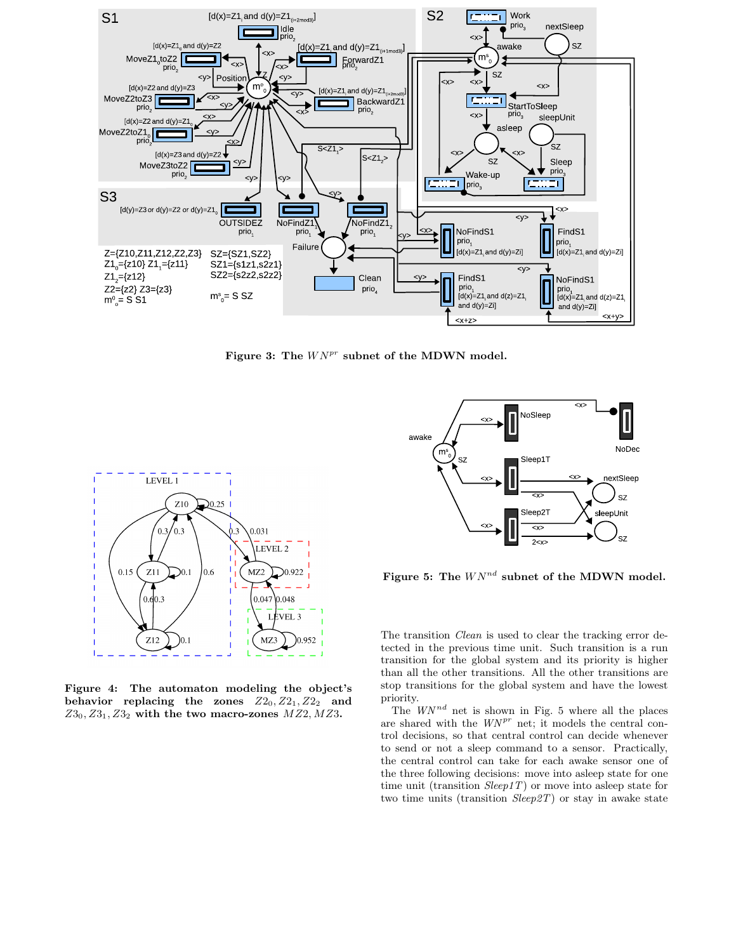

Figure 3: The  $W N^{pr}$  subnet of the MDWN model.



Figure 4: The automaton modeling the object's behavior replacing the zones  $Z2_0, Z2_1, Z2_2$  and  $Z3_0, Z3_1, Z3_2$  with the two macro-zones  $MZ2, MZ3$ .



Figure 5: The  $WN^{nd}$  subnet of the MDWN model.

The transition *Clean* is used to clear the tracking error detected in the previous time unit. Such transition is a run transition for the global system and its priority is higher than all the other transitions. All the other transitions are stop transitions for the global system and have the lowest priority.

The  $WN^{nd}$  net is shown in Fig. 5 where all the places are shared with the  $W N^{pr}$  net; it models the central control decisions, so that central control can decide whenever to send or not a sleep command to a sensor. Practically, the central control can take for each awake sensor one of the three following decisions: move into asleep state for one time unit (transition *Sleep1T*) or move into asleep state for two time units (transition *Sleep2T*) or stay in awake state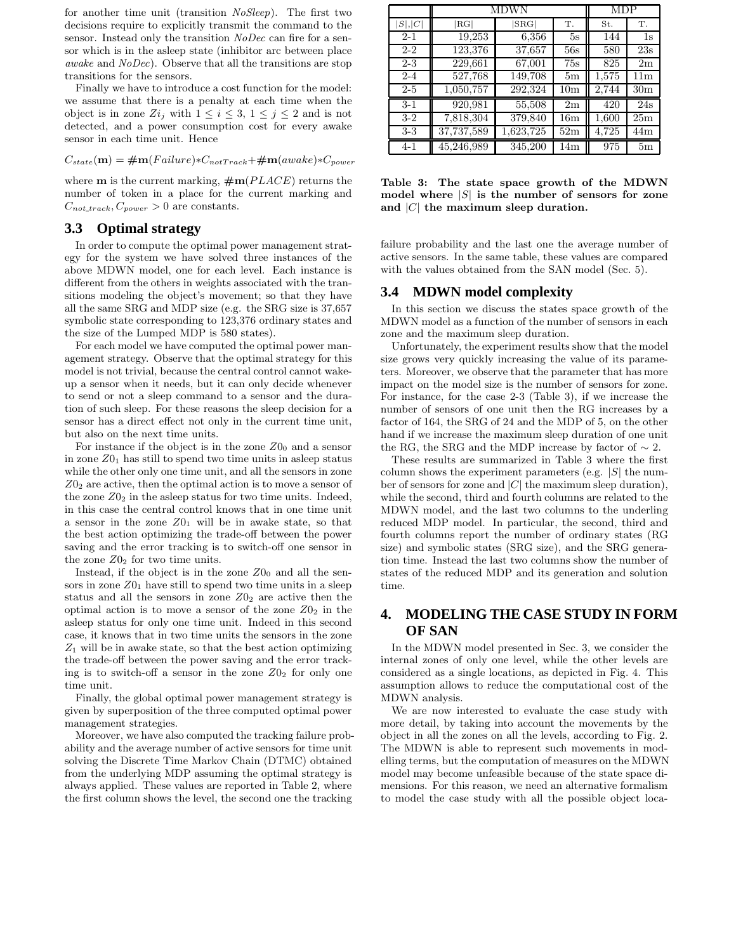for another time unit (transition *NoSleep*). The first two decisions require to explicitly transmit the command to the sensor. Instead only the transition *NoDec* can fire for a sensor which is in the asleep state (inhibitor arc between place *awake* and *NoDec*). Observe that all the transitions are stop transitions for the sensors.

Finally we have to introduce a cost function for the model: we assume that there is a penalty at each time when the object is in zone  $Z_i$  with  $1 \leq i \leq 3$ ,  $1 \leq j \leq 2$  and is not detected, and a power consumption cost for every awake sensor in each time unit. Hence

$$
C_{state}(\mathbf{m}) = \# \mathbf{m}(Failure) * C_{notTrack} + \# \mathbf{m}(awake) * C_{power}
$$

where **m** is the current marking,  $\#m(PLACE)$  returns the number of token in a place for the current marking and  $C_{not\_track}, C_{power} > 0$  are constants.

## **3.3 Optimal strategy**

In order to compute the optimal power management strategy for the system we have solved three instances of the above MDWN model, one for each level. Each instance is different from the others in weights associated with the transitions modeling the object's movement; so that they have all the same SRG and MDP size (e.g. the SRG size is 37,657 symbolic state corresponding to 123,376 ordinary states and the size of the Lumped MDP is 580 states).

For each model we have computed the optimal power management strategy. Observe that the optimal strategy for this model is not trivial, because the central control cannot wakeup a sensor when it needs, but it can only decide whenever to send or not a sleep command to a sensor and the duration of such sleep. For these reasons the sleep decision for a sensor has a direct effect not only in the current time unit, but also on the next time units.

For instance if the object is in the zone  $Z_0$  and a sensor in zone  $Z_0$  has still to spend two time units in asleep status while the other only one time unit, and all the sensors in zone  $Z_0$  are active, then the optimal action is to move a sensor of the zone  $Z0_2$  in the asleep status for two time units. Indeed, in this case the central control knows that in one time unit a sensor in the zone  $Z_01$  will be in awake state, so that the best action optimizing the trade-off between the power saving and the error tracking is to switch-off one sensor in the zone  $Z0<sub>2</sub>$  for two time units.

Instead, if the object is in the zone  $Z0<sub>0</sub>$  and all the sensors in zone  $Z0<sub>1</sub>$  have still to spend two time units in a sleep status and all the sensors in zone  $Z_0$  are active then the optimal action is to move a sensor of the zone  $Z_0$  in the asleep status for only one time unit. Indeed in this second case, it knows that in two time units the sensors in the zone  $Z_1$  will be in awake state, so that the best action optimizing the trade-off between the power saving and the error tracking is to switch-off a sensor in the zone  $Z_02$  for only one time unit.

Finally, the global optimal power management strategy is given by superposition of the three computed optimal power management strategies.

Moreover, we have also computed the tracking failure probability and the average number of active sensors for time unit solving the Discrete Time Markov Chain (DTMC) obtained from the underlying MDP assuming the optimal strategy is always applied. These values are reported in Table 2, where the first column shows the level, the second one the tracking

|         | MDWN       |                  |                 | <b>MDP</b> |                 |
|---------|------------|------------------|-----------------|------------|-----------------|
| S , C   | RG         | $ \mathrm{SRG} $ | Τ.              | St.        | Τ.              |
| $2 - 1$ | 19,253     | 6,356            | 5s              | 144        | 1s              |
| $2 - 2$ | 123,376    | 37,657           | 56s             | 580        | 23s             |
| $2 - 3$ | 229,661    | 67,001           | 75s             | 825        | 2m              |
| $2 - 4$ | 527,768    | 149,708          | 5m              | 1,575      | 11 <sub>m</sub> |
| $2-5$   | 1,050,757  | 292,324          | 10 <sub>m</sub> | 2,744      | 30 <sub>m</sub> |
| $3-1$   | 920,981    | 55,508           | 2m              | 420        | 24s             |
| $3-2$   | 7,818,304  | 379,840          | 16m             | 1,600      | 25m             |
| $3-3$   | 37,737,589 | 1,623,725        | 52m             | 4,725      | 44m             |
| $4 - 1$ | 45,246,989 | 345,200          | 14m             | 975        | 5 <sub>m</sub>  |

Table 3: The state space growth of the MDWN model where  $|S|$  is the number of sensors for zone and  $|C|$  the maximum sleep duration.

failure probability and the last one the average number of active sensors. In the same table, these values are compared with the values obtained from the SAN model (Sec. 5).

#### **3.4 MDWN model complexity**

In this section we discuss the states space growth of the MDWN model as a function of the number of sensors in each zone and the maximum sleep duration.

Unfortunately, the experiment results show that the model size grows very quickly increasing the value of its parameters. Moreover, we observe that the parameter that has more impact on the model size is the number of sensors for zone. For instance, for the case 2-3 (Table 3), if we increase the number of sensors of one unit then the RG increases by a factor of 164, the SRG of 24 and the MDP of 5, on the other hand if we increase the maximum sleep duration of one unit the RG, the SRG and the MDP increase by factor of  $\sim 2$ .

These results are summarized in Table 3 where the first column shows the experiment parameters (e.g.  $|S|$  the number of sensors for zone and  $|C|$  the maximum sleep duration), while the second, third and fourth columns are related to the MDWN model, and the last two columns to the underling reduced MDP model. In particular, the second, third and fourth columns report the number of ordinary states (RG size) and symbolic states (SRG size), and the SRG generation time. Instead the last two columns show the number of states of the reduced MDP and its generation and solution time.

# **4. MODELING THE CASE STUDY IN FORM OF SAN**

In the MDWN model presented in Sec. 3, we consider the internal zones of only one level, while the other levels are considered as a single locations, as depicted in Fig. 4. This assumption allows to reduce the computational cost of the MDWN analysis.

We are now interested to evaluate the case study with more detail, by taking into account the movements by the object in all the zones on all the levels, according to Fig. 2. The MDWN is able to represent such movements in modelling terms, but the computation of measures on the MDWN model may become unfeasible because of the state space dimensions. For this reason, we need an alternative formalism to model the case study with all the possible object loca-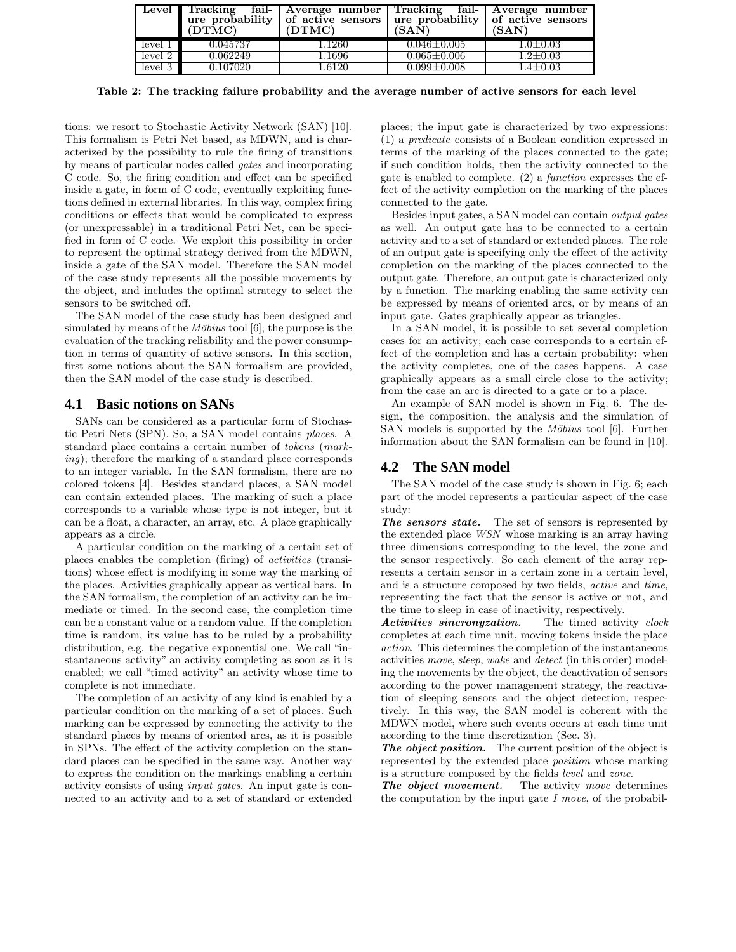|         | (DTMC)   | Level Tracking fail- Average number Tracking fail- Average number<br>$\alpha$ ure probability of active sensors ure probability of active sensors<br>(DTMC) | (SAN)               | (SAN)          |
|---------|----------|-------------------------------------------------------------------------------------------------------------------------------------------------------------|---------------------|----------------|
| level 1 | 0.045737 | .1260                                                                                                                                                       | $0.046 \pm 0.005$   | $1.0 \pm 0.03$ |
| level 2 | 0.062249 | 1.1696                                                                                                                                                      | $0.065 {\pm} 0.006$ | $1.2{\pm}0.03$ |
| level 3 | 0.107020 | 1.6120                                                                                                                                                      | $0.099 \pm 0.008$   | $1.4 \pm 0.03$ |

Table 2: The tracking failure probability and the average number of active sensors for each level

tions: we resort to Stochastic Activity Network (SAN) [10]. This formalism is Petri Net based, as MDWN, and is characterized by the possibility to rule the firing of transitions by means of particular nodes called *gates* and incorporating C code. So, the firing condition and effect can be specified inside a gate, in form of C code, eventually exploiting functions defined in external libraries. In this way, complex firing conditions or effects that would be complicated to express (or unexpressable) in a traditional Petri Net, can be specified in form of C code. We exploit this possibility in order to represent the optimal strategy derived from the MDWN, inside a gate of the SAN model. Therefore the SAN model of the case study represents all the possible movements by the object, and includes the optimal strategy to select the sensors to be switched off.

The SAN model of the case study has been designed and simulated by means of the *Möbius* tool [6]; the purpose is the evaluation of the tracking reliability and the power consumption in terms of quantity of active sensors. In this section, first some notions about the SAN formalism are provided, then the SAN model of the case study is described.

#### **4.1 Basic notions on SANs**

SANs can be considered as a particular form of Stochastic Petri Nets (SPN). So, a SAN model contains *places*. A standard place contains a certain number of *tokens* (*marking*); therefore the marking of a standard place corresponds to an integer variable. In the SAN formalism, there are no colored tokens [4]. Besides standard places, a SAN model can contain extended places. The marking of such a place corresponds to a variable whose type is not integer, but it can be a float, a character, an array, etc. A place graphically appears as a circle.

A particular condition on the marking of a certain set of places enables the completion (firing) of *activities* (transitions) whose effect is modifying in some way the marking of the places. Activities graphically appear as vertical bars. In the SAN formalism, the completion of an activity can be immediate or timed. In the second case, the completion time can be a constant value or a random value. If the completion time is random, its value has to be ruled by a probability distribution, e.g. the negative exponential one. We call "instantaneous activity" an activity completing as soon as it is enabled; we call "timed activity" an activity whose time to complete is not immediate.

The completion of an activity of any kind is enabled by a particular condition on the marking of a set of places. Such marking can be expressed by connecting the activity to the standard places by means of oriented arcs, as it is possible in SPNs. The effect of the activity completion on the standard places can be specified in the same way. Another way to express the condition on the markings enabling a certain activity consists of using *input gates*. An input gate is connected to an activity and to a set of standard or extended

places; the input gate is characterized by two expressions: (1) a *predicate* consists of a Boolean condition expressed in terms of the marking of the places connected to the gate; if such condition holds, then the activity connected to the gate is enabled to complete. (2) a *function* expresses the effect of the activity completion on the marking of the places connected to the gate.

Besides input gates, a SAN model can contain *output gates* as well. An output gate has to be connected to a certain activity and to a set of standard or extended places. The role of an output gate is specifying only the effect of the activity completion on the marking of the places connected to the output gate. Therefore, an output gate is characterized only by a function. The marking enabling the same activity can be expressed by means of oriented arcs, or by means of an input gate. Gates graphically appear as triangles.

In a SAN model, it is possible to set several completion cases for an activity; each case corresponds to a certain effect of the completion and has a certain probability: when the activity completes, one of the cases happens. A case graphically appears as a small circle close to the activity; from the case an arc is directed to a gate or to a place.

An example of SAN model is shown in Fig. 6. The design, the composition, the analysis and the simulation of SAN models is supported by the *Möbius* tool [6]. Further information about the SAN formalism can be found in [10].

## **4.2 The SAN model**

The SAN model of the case study is shown in Fig. 6; each part of the model represents a particular aspect of the case study:

The sensors state. The set of sensors is represented by the extended place *WSN* whose marking is an array having three dimensions corresponding to the level, the zone and the sensor respectively. So each element of the array represents a certain sensor in a certain zone in a certain level, and is a structure composed by two fields, *active* and *time*, representing the fact that the sensor is active or not, and the time to sleep in case of inactivity, respectively.

Activities sincronyzation. The timed activity *clock* completes at each time unit, moving tokens inside the place *action*. This determines the completion of the instantaneous activities *move*, *sleep*, *wake* and *detect* (in this order) modeling the movements by the object, the deactivation of sensors according to the power management strategy, the reactivation of sleeping sensors and the object detection, respectively. In this way, the SAN model is coherent with the MDWN model, where such events occurs at each time unit according to the time discretization (Sec. 3).

The object position. The current position of the object is represented by the extended place *position* whose marking is a structure composed by the fields *level* and *zone*.

The object movement. The activity *move* determines the computation by the input gate *I move*, of the probabil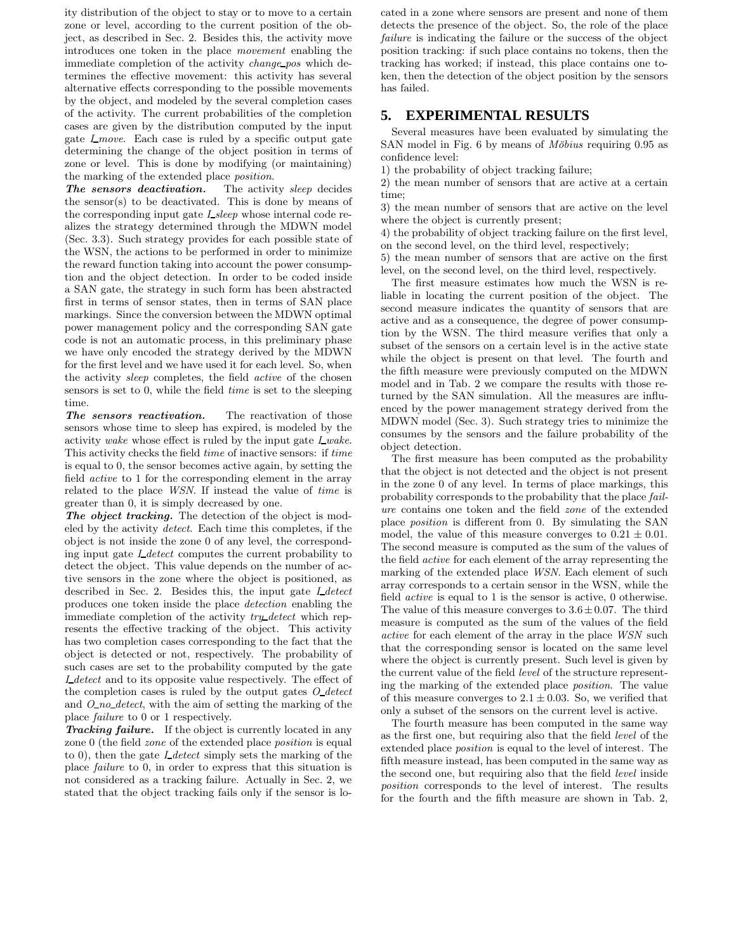ity distribution of the object to stay or to move to a certain zone or level, according to the current position of the object, as described in Sec. 2. Besides this, the activity move introduces one token in the place *movement* enabling the immediate completion of the activity *change pos* which determines the effective movement: this activity has several alternative effects corresponding to the possible movements by the object, and modeled by the several completion cases of the activity. The current probabilities of the completion cases are given by the distribution computed by the input gate *I move*. Each case is ruled by a specific output gate determining the change of the object position in terms of zone or level. This is done by modifying (or maintaining) the marking of the extended place *position*.

The sensors deactivation. The activity *sleep* decides the sensor(s) to be deactivated. This is done by means of the corresponding input gate *I sleep* whose internal code realizes the strategy determined through the MDWN model (Sec. 3.3). Such strategy provides for each possible state of the WSN, the actions to be performed in order to minimize the reward function taking into account the power consumption and the object detection. In order to be coded inside a SAN gate, the strategy in such form has been abstracted first in terms of sensor states, then in terms of SAN place markings. Since the conversion between the MDWN optimal power management policy and the corresponding SAN gate code is not an automatic process, in this preliminary phase we have only encoded the strategy derived by the MDWN for the first level and we have used it for each level. So, when the activity *sleep* completes, the field *active* of the chosen sensors is set to 0, while the field *time* is set to the sleeping time.

The sensors reactivation. The reactivation of those sensors whose time to sleep has expired, is modeled by the activity *wake* whose effect is ruled by the input gate *I wake*. This activity checks the field *time* of inactive sensors: if *time* is equal to 0, the sensor becomes active again, by setting the field *active* to 1 for the corresponding element in the array related to the place *WSN*. If instead the value of *time* is greater than 0, it is simply decreased by one.

The object tracking. The detection of the object is modeled by the activity *detect*. Each time this completes, if the object is not inside the zone 0 of any level, the corresponding input gate *I detect* computes the current probability to detect the object. This value depends on the number of active sensors in the zone where the object is positioned, as described in Sec. 2. Besides this, the input gate *I detect* produces one token inside the place *detection* enabling the immediate completion of the activity *try detect* which represents the effective tracking of the object. This activity has two completion cases corresponding to the fact that the object is detected or not, respectively. The probability of such cases are set to the probability computed by the gate *I detect* and to its opposite value respectively. The effect of the completion cases is ruled by the output gates *O detect* and *O no detect*, with the aim of setting the marking of the place *failure* to 0 or 1 respectively.

**Tracking failure.** If the object is currently located in any zone 0 (the field *zone* of the extended place *position* is equal to 0), then the gate *I detect* simply sets the marking of the place *failure* to 0, in order to express that this situation is not considered as a tracking failure. Actually in Sec. 2, we stated that the object tracking fails only if the sensor is located in a zone where sensors are present and none of them detects the presence of the object. So, the role of the place *failure* is indicating the failure or the success of the object position tracking: if such place contains no tokens, then the tracking has worked; if instead, this place contains one token, then the detection of the object position by the sensors has failed.

#### **5. EXPERIMENTAL RESULTS**

Several measures have been evaluated by simulating the SAN model in Fig. 6 by means of *Möbius* requiring 0.95 as confidence level:

1) the probability of object tracking failure;

2) the mean number of sensors that are active at a certain time;

3) the mean number of sensors that are active on the level where the object is currently present;

4) the probability of object tracking failure on the first level, on the second level, on the third level, respectively;

5) the mean number of sensors that are active on the first level, on the second level, on the third level, respectively.

The first measure estimates how much the WSN is reliable in locating the current position of the object. The second measure indicates the quantity of sensors that are active and as a consequence, the degree of power consumption by the WSN. The third measure verifies that only a subset of the sensors on a certain level is in the active state while the object is present on that level. The fourth and the fifth measure were previously computed on the MDWN model and in Tab. 2 we compare the results with those returned by the SAN simulation. All the measures are influenced by the power management strategy derived from the MDWN model (Sec. 3). Such strategy tries to minimize the consumes by the sensors and the failure probability of the object detection.

The first measure has been computed as the probability that the object is not detected and the object is not present in the zone 0 of any level. In terms of place markings, this probability corresponds to the probability that the place *failure* contains one token and the field *zone* of the extended place *position* is different from 0. By simulating the SAN model, the value of this measure converges to  $0.21 \pm 0.01$ . The second measure is computed as the sum of the values of the field *active* for each element of the array representing the marking of the extended place *WSN*. Each element of such array corresponds to a certain sensor in the WSN, while the field *active* is equal to 1 is the sensor is active, 0 otherwise. The value of this measure converges to  $3.6 \pm 0.07$ . The third measure is computed as the sum of the values of the field *active* for each element of the array in the place *WSN* such that the corresponding sensor is located on the same level where the object is currently present. Such level is given by the current value of the field *level* of the structure representing the marking of the extended place *position*. The value of this measure converges to  $2.1 \pm 0.03$ . So, we verified that only a subset of the sensors on the current level is active.

The fourth measure has been computed in the same way as the first one, but requiring also that the field *level* of the extended place *position* is equal to the level of interest. The fifth measure instead, has been computed in the same way as the second one, but requiring also that the field *level* inside *position* corresponds to the level of interest. The results for the fourth and the fifth measure are shown in Tab. 2,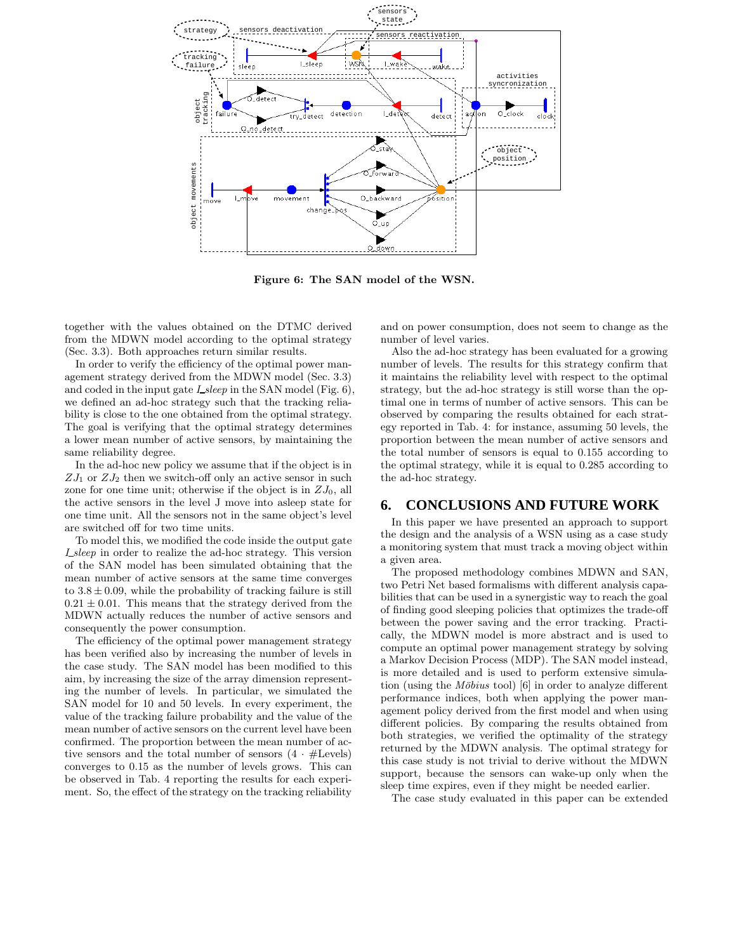

Figure 6: The SAN model of the WSN.

together with the values obtained on the DTMC derived from the MDWN model according to the optimal strategy (Sec. 3.3). Both approaches return similar results.

In order to verify the efficiency of the optimal power management strategy derived from the MDWN model (Sec. 3.3) and coded in the input gate *I sleep* in the SAN model (Fig. 6), we defined an ad-hoc strategy such that the tracking reliability is close to the one obtained from the optimal strategy. The goal is verifying that the optimal strategy determines a lower mean number of active sensors, by maintaining the same reliability degree.

In the ad-hoc new policy we assume that if the object is in  $ZJ_1$  or  $ZJ_2$  then we switch-off only an active sensor in such zone for one time unit; otherwise if the object is in  $ZJ_0$ , all the active sensors in the level J move into asleep state for one time unit. All the sensors not in the same object's level are switched off for two time units.

To model this, we modified the code inside the output gate *I sleep* in order to realize the ad-hoc strategy. This version of the SAN model has been simulated obtaining that the mean number of active sensors at the same time converges to  $3.8 \pm 0.09$ , while the probability of tracking failure is still  $0.21 \pm 0.01$ . This means that the strategy derived from the MDWN actually reduces the number of active sensors and consequently the power consumption.

The efficiency of the optimal power management strategy has been verified also by increasing the number of levels in the case study. The SAN model has been modified to this aim, by increasing the size of the array dimension representing the number of levels. In particular, we simulated the SAN model for 10 and 50 levels. In every experiment, the value of the tracking failure probability and the value of the mean number of active sensors on the current level have been confirmed. The proportion between the mean number of active sensors and the total number of sensors  $(4 \cdot #levels)$ converges to 0.15 as the number of levels grows. This can be observed in Tab. 4 reporting the results for each experiment. So, the effect of the strategy on the tracking reliability

and on power consumption, does not seem to change as the number of level varies.

Also the ad-hoc strategy has been evaluated for a growing number of levels. The results for this strategy confirm that it maintains the reliability level with respect to the optimal strategy, but the ad-hoc strategy is still worse than the optimal one in terms of number of active sensors. This can be observed by comparing the results obtained for each strategy reported in Tab. 4: for instance, assuming 50 levels, the proportion between the mean number of active sensors and the total number of sensors is equal to 0.155 according to the optimal strategy, while it is equal to 0.285 according to the ad-hoc strategy.

#### **6. CONCLUSIONS AND FUTURE WORK**

In this paper we have presented an approach to support the design and the analysis of a WSN using as a case study a monitoring system that must track a moving object within a given area.

The proposed methodology combines MDWN and SAN, two Petri Net based formalisms with different analysis capabilities that can be used in a synergistic way to reach the goal of finding good sleeping policies that optimizes the trade-off between the power saving and the error tracking. Practically, the MDWN model is more abstract and is used to compute an optimal power management strategy by solving a Markov Decision Process (MDP). The SAN model instead, is more detailed and is used to perform extensive simulation (using the *Möbius* tool) [6] in order to analyze different performance indices, both when applying the power management policy derived from the first model and when using different policies. By comparing the results obtained from both strategies, we verified the optimality of the strategy returned by the MDWN analysis. The optimal strategy for this case study is not trivial to derive without the MDWN support, because the sensors can wake-up only when the sleep time expires, even if they might be needed earlier.

The case study evaluated in this paper can be extended